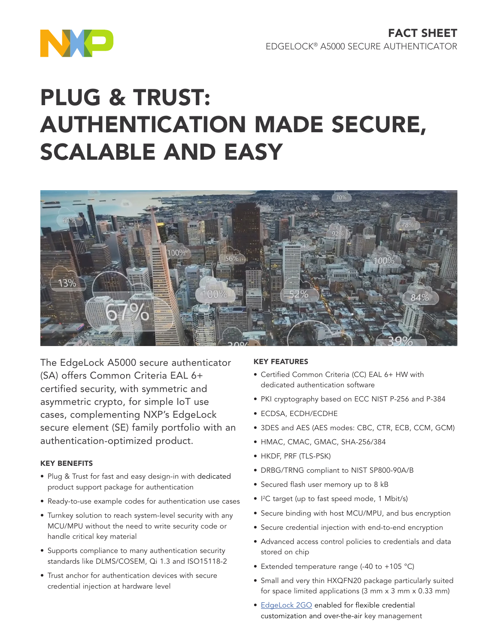

# PLUG & TRUST: AUTHENTICATION MADE SECURE, SCALABLE AND EASY



The EdgeLock A5000 secure authenticator (SA) offers Common Criteria EAL 6+ certified security, with symmetric and asymmetric crypto, for simple IoT use cases, complementing NXP's EdgeLock secure element (SE) family portfolio with an authentication-optimized product.

# KEY BENEFITS

- Plug & Trust for fast and easy design-in with dedicated product support package for authentication
- Ready-to-use example codes for authentication use cases
- Turnkey solution to reach system-level security with any MCU/MPU without the need to write security code or handle critical key material
- Supports compliance to many authentication security standards like DLMS/COSEM, Qi 1.3 and ISO15118-2
- Trust anchor for authentication devices with secure credential injection at hardware level

# KEY FEATURES

- Certified Common Criteria (CC) EAL 6+ HW with dedicated authentication software
- PKI cryptography based on ECC NIST P-256 and P-384
- ECDSA, ECDH/ECDHE
- 3DES and AES (AES modes: CBC, CTR, ECB, CCM, GCM)
- HMAC, CMAC, GMAC, SHA-256/384
- HKDF, PRF (TLS-PSK)
- DRBG/TRNG compliant to NIST SP800-90A/B
- Secured flash user memory up to 8 kB
- I 2 C target (up to fast speed mode, 1 Mbit/s)
- Secure binding with host MCU/MPU, and bus encryption
- Secure credential injection with end-to-end encryption
- Advanced access control policies to credentials and data stored on chip
- Extended temperature range (-40 to +105 °C)
- Small and very thin HXQFN20 package particularly suited for space limited applications (3 mm x 3 mm x 0.33 mm)
- [EdgeLock 2GO](http://www.nxp.com/EdgeLock2GO) enabled for flexible credential customization and over-the-air key management